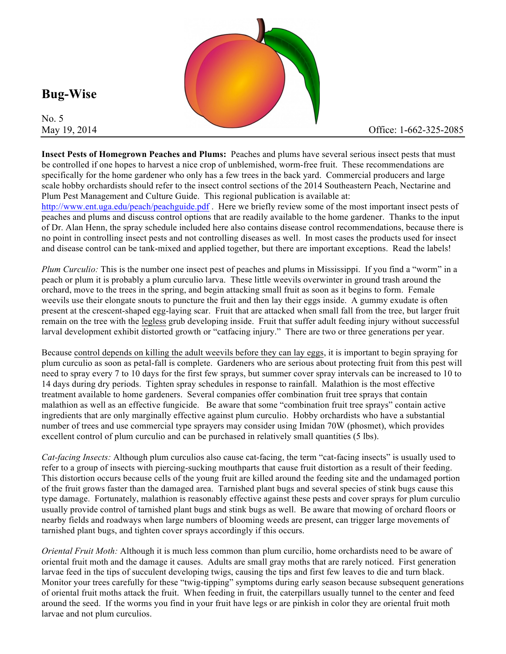

**Bug-Wise** 

No. 5

**Insect Pests of Homegrown Peaches and Plums:** Peaches and plums have several serious insect pests that must be controlled if one hopes to harvest a nice crop of unblemished, worm-free fruit. These recommendations are specifically for the home gardener who only has a few trees in the back yard. Commercial producers and large scale hobby orchardists should refer to the insect control sections of the 2014 Southeastern Peach, Nectarine and Plum Pest Management and Culture Guide. This regional publication is available at:

http://www.ent.uga.edu/peach/peachguide.pdf. Here we briefly review some of the most important insect pests of peaches and plums and discuss control options that are readily available to the home gardener. Thanks to the input of Dr. Alan Henn, the spray schedule included here also contains disease control recommendations, because there is no point in controlling insect pests and not controlling diseases as well. In most cases the products used for insect and disease control can be tank-mixed and applied together, but there are important exceptions. Read the labels!

*Plum Curculio:* This is the number one insect pest of peaches and plums in Mississippi. If you find a "worm" in a peach or plum it is probably a plum curculio larva. These little weevils overwinter in ground trash around the orchard, move to the trees in the spring, and begin attacking small fruit as soon as it begins to form. Female weevils use their elongate snouts to puncture the fruit and then lay their eggs inside. A gummy exudate is often present at the crescent-shaped egg-laying scar. Fruit that are attacked when small fall from the tree, but larger fruit remain on the tree with the legless grub developing inside. Fruit that suffer adult feeding injury without successful larval development exhibit distorted growth or "catfacing injury." There are two or three generations per year.

Because control depends on killing the adult weevils before they can lay eggs, it is important to begin spraying for plum curculio as soon as petal-fall is complete. Gardeners who are serious about protecting fruit from this pest will need to spray every 7 to 10 days for the first few sprays, but summer cover spray intervals can be increased to 10 to 14 days during dry periods. Tighten spray schedules in response to rainfall. Malathion is the most effective treatment available to home gardeners. Several companies offer combination fruit tree sprays that contain malathion as well as an effective fungicide. Be aware that some "combination fruit tree sprays" contain active ingredients that are only marginally effective against plum curculio. Hobby orchardists who have a substantial number of trees and use commercial type sprayers may consider using Imidan 70W (phosmet), which provides excellent control of plum curculio and can be purchased in relatively small quantities (5 lbs).

*Cat-facing Insects:* Although plum curculios also cause cat-facing, the term "cat-facing insects" is usually used to refer to a group of insects with piercing-sucking mouthparts that cause fruit distortion as a result of their feeding. This distortion occurs because cells of the young fruit are killed around the feeding site and the undamaged portion of the fruit grows faster than the damaged area. Tarnished plant bugs and several species of stink bugs cause this type damage. Fortunately, malathion is reasonably effective against these pests and cover sprays for plum curculio usually provide control of tarnished plant bugs and stink bugs as well. Be aware that mowing of orchard floors or nearby fields and roadways when large numbers of blooming weeds are present, can trigger large movements of tarnished plant bugs, and tighten cover sprays accordingly if this occurs.

*Oriental Fruit Moth:* Although it is much less common than plum curcilio, home orchardists need to be aware of oriental fruit moth and the damage it causes. Adults are small gray moths that are rarely noticed. First generation larvae feed in the tips of succulent developing twigs, causing the tips and first few leaves to die and turn black. Monitor your trees carefully for these "twig-tipping" symptoms during early season because subsequent generations of oriental fruit moths attack the fruit. When feeding in fruit, the caterpillars usually tunnel to the center and feed around the seed. If the worms you find in your fruit have legs or are pinkish in color they are oriental fruit moth larvae and not plum curculios.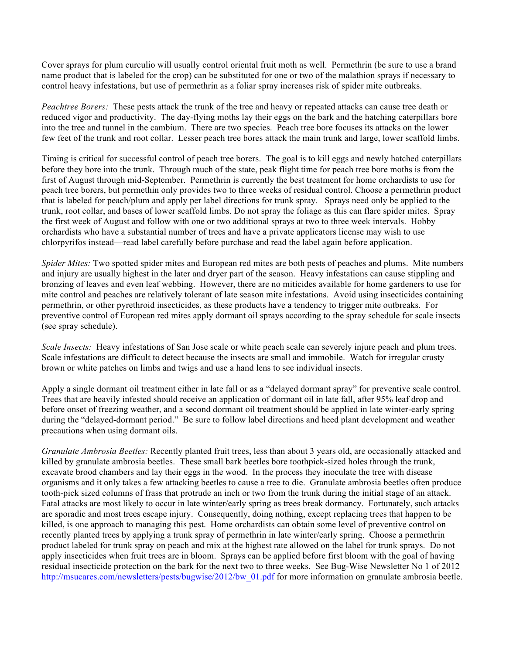Cover sprays for plum curculio will usually control oriental fruit moth as well. Permethrin (be sure to use a brand name product that is labeled for the crop) can be substituted for one or two of the malathion sprays if necessary to control heavy infestations, but use of permethrin as a foliar spray increases risk of spider mite outbreaks.

*Peachtree Borers:* These pests attack the trunk of the tree and heavy or repeated attacks can cause tree death or reduced vigor and productivity. The day-flying moths lay their eggs on the bark and the hatching caterpillars bore into the tree and tunnel in the cambium. There are two species. Peach tree bore focuses its attacks on the lower few feet of the trunk and root collar. Lesser peach tree bores attack the main trunk and large, lower scaffold limbs.

Timing is critical for successful control of peach tree borers. The goal is to kill eggs and newly hatched caterpillars before they bore into the trunk. Through much of the state, peak flight time for peach tree bore moths is from the first of August through mid-September. Permethrin is currently the best treatment for home orchardists to use for peach tree borers, but permethin only provides two to three weeks of residual control. Choose a permethrin product that is labeled for peach/plum and apply per label directions for trunk spray. Sprays need only be applied to the trunk, root collar, and bases of lower scaffold limbs. Do not spray the foliage as this can flare spider mites. Spray the first week of August and follow with one or two additional sprays at two to three week intervals. Hobby orchardists who have a substantial number of trees and have a private applicators license may wish to use chlorpyrifos instead—read label carefully before purchase and read the label again before application.

*Spider Mites:* Two spotted spider mites and European red mites are both pests of peaches and plums. Mite numbers and injury are usually highest in the later and dryer part of the season. Heavy infestations can cause stippling and bronzing of leaves and even leaf webbing. However, there are no miticides available for home gardeners to use for mite control and peaches are relatively tolerant of late season mite infestations. Avoid using insecticides containing permethrin, or other pyrethroid insecticides, as these products have a tendency to trigger mite outbreaks. For preventive control of European red mites apply dormant oil sprays according to the spray schedule for scale insects (see spray schedule).

*Scale Insects:* Heavy infestations of San Jose scale or white peach scale can severely injure peach and plum trees. Scale infestations are difficult to detect because the insects are small and immobile. Watch for irregular crusty brown or white patches on limbs and twigs and use a hand lens to see individual insects.

Apply a single dormant oil treatment either in late fall or as a "delayed dormant spray" for preventive scale control. Trees that are heavily infested should receive an application of dormant oil in late fall, after 95% leaf drop and before onset of freezing weather, and a second dormant oil treatment should be applied in late winter-early spring during the "delayed-dormant period." Be sure to follow label directions and heed plant development and weather precautions when using dormant oils.

*Granulate Ambrosia Beetles:* Recently planted fruit trees, less than about 3 years old, are occasionally attacked and killed by granulate ambrosia beetles. These small bark beetles bore toothpick-sized holes through the trunk, excavate brood chambers and lay their eggs in the wood. In the process they inoculate the tree with disease organisms and it only takes a few attacking beetles to cause a tree to die. Granulate ambrosia beetles often produce tooth-pick sized columns of frass that protrude an inch or two from the trunk during the initial stage of an attack. Fatal attacks are most likely to occur in late winter/early spring as trees break dormancy. Fortunately, such attacks are sporadic and most trees escape injury. Consequently, doing nothing, except replacing trees that happen to be killed, is one approach to managing this pest. Home orchardists can obtain some level of preventive control on recently planted trees by applying a trunk spray of permethrin in late winter/early spring. Choose a permethrin product labeled for trunk spray on peach and mix at the highest rate allowed on the label for trunk sprays. Do not apply insecticides when fruit trees are in bloom. Sprays can be applied before first bloom with the goal of having residual insecticide protection on the bark for the next two to three weeks. See Bug-Wise Newsletter No 1 of 2012 http://msucares.com/newsletters/pests/bugwise/2012/bw\_01.pdf for more information on granulate ambrosia beetle.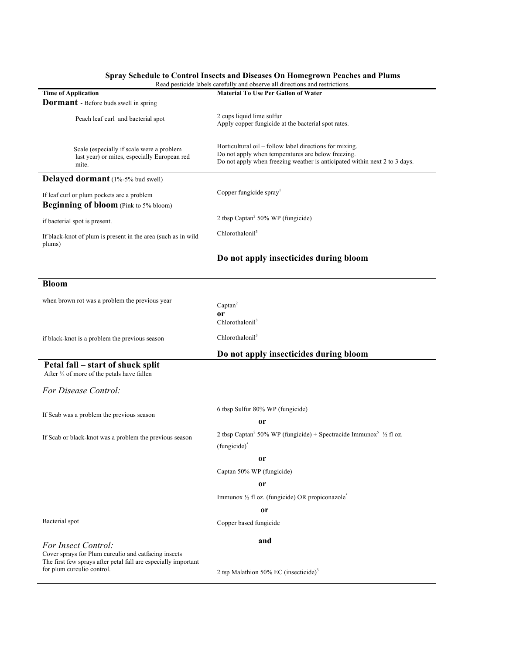## **Spray Schedule to Control Insects and Diseases On Homegrown Peaches and Plums**

|                                                                                                                                                      | Read pesticide labels carefully and observe all directions and restrictions.                                                                                                                |  |  |
|------------------------------------------------------------------------------------------------------------------------------------------------------|---------------------------------------------------------------------------------------------------------------------------------------------------------------------------------------------|--|--|
| <b>Time of Application</b>                                                                                                                           | <b>Material To Use Per Gallon of Water</b>                                                                                                                                                  |  |  |
| <b>Dormant</b> - Before buds swell in spring                                                                                                         |                                                                                                                                                                                             |  |  |
| Peach leaf curl and bacterial spot                                                                                                                   | 2 cups liquid lime sulfur<br>Apply copper fungicide at the bacterial spot rates.                                                                                                            |  |  |
| Scale (especially if scale were a problem<br>last year) or mites, especially European red<br>mite.                                                   | Horticultural oil – follow label directions for mixing.<br>Do not apply when temperatures are below freezing.<br>Do not apply when freezing weather is anticipated within next 2 to 3 days. |  |  |
| Delayed dormant (1%-5% bud swell)                                                                                                                    |                                                                                                                                                                                             |  |  |
| If leaf curl or plum pockets are a problem                                                                                                           | Copper fungicide spray <sup>1</sup>                                                                                                                                                         |  |  |
| Beginning of bloom (Pink to 5% bloom)                                                                                                                |                                                                                                                                                                                             |  |  |
| if bacterial spot is present.                                                                                                                        | 2 tbsp Captan <sup>2</sup> 50% WP (fungicide)                                                                                                                                               |  |  |
| If black-knot of plum is present in the area (such as in wild<br>plums)                                                                              | Chlorothalonil <sup>3</sup>                                                                                                                                                                 |  |  |
|                                                                                                                                                      | Do not apply insecticides during bloom                                                                                                                                                      |  |  |
| <b>Bloom</b>                                                                                                                                         |                                                                                                                                                                                             |  |  |
| when brown rot was a problem the previous year                                                                                                       | $Captan^2$<br><sub>or</sub><br>Chlorothalonil <sup>3</sup>                                                                                                                                  |  |  |
| if black-knot is a problem the previous season                                                                                                       | Chlorothalonil <sup>3</sup>                                                                                                                                                                 |  |  |
|                                                                                                                                                      | Do not apply insecticides during bloom                                                                                                                                                      |  |  |
| Petal fall – start of shuck split<br>After 3/4 of more of the petals have fallen                                                                     |                                                                                                                                                                                             |  |  |
| For Disease Control:                                                                                                                                 |                                                                                                                                                                                             |  |  |
| If Scab was a problem the previous season                                                                                                            | 6 tbsp Sulfur 80% WP (fungicide)<br><sub>or</sub>                                                                                                                                           |  |  |
| If Scab or black-knot was a problem the previous season                                                                                              | 2 tbsp Captan <sup>2</sup> 50% WP (fungicide) + Spectracide Immunox <sup>5</sup> $\frac{1}{2}$ fl oz.<br>(fungicide) <sup>5</sup>                                                           |  |  |
|                                                                                                                                                      | or                                                                                                                                                                                          |  |  |
|                                                                                                                                                      | Captan 50% WP (fungicide)                                                                                                                                                                   |  |  |
|                                                                                                                                                      | or                                                                                                                                                                                          |  |  |
|                                                                                                                                                      | Immunox 1/2 fl oz. (fungicide) OR propiconazole <sup>5</sup>                                                                                                                                |  |  |
|                                                                                                                                                      | or                                                                                                                                                                                          |  |  |
| Bacterial spot                                                                                                                                       | Copper based fungicide                                                                                                                                                                      |  |  |
| For Insect Control:                                                                                                                                  | and                                                                                                                                                                                         |  |  |
| Cover sprays for Plum curculio and catfacing insects<br>The first few sprays after petal fall are especially important<br>for plum curculio control. | 2 tsp Malathion 50% EC (insecticide) <sup>3</sup>                                                                                                                                           |  |  |